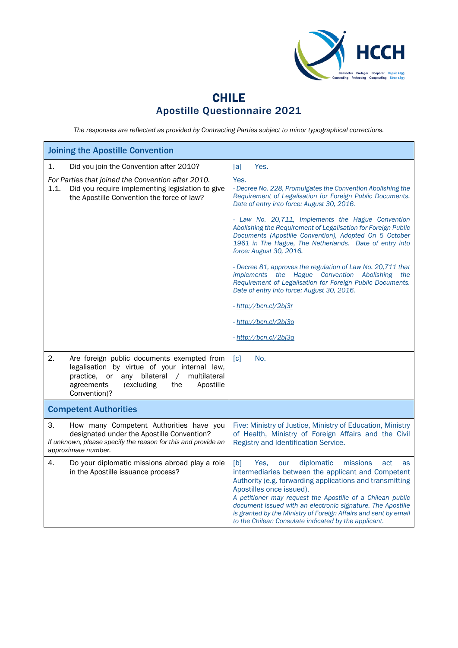

## CHILE Apostille Questionnaire 2021

*The responses are reflected as provided by Contracting Parties subject to minor typographical corrections.*

| <b>Joining the Apostille Convention</b>                                                                                                                                                                             |                                                                                                                                                                                                                                                                                                                                                                                                                                                                 |  |  |
|---------------------------------------------------------------------------------------------------------------------------------------------------------------------------------------------------------------------|-----------------------------------------------------------------------------------------------------------------------------------------------------------------------------------------------------------------------------------------------------------------------------------------------------------------------------------------------------------------------------------------------------------------------------------------------------------------|--|--|
| 1.<br>Did you join the Convention after 2010?                                                                                                                                                                       | [a]<br>Yes.                                                                                                                                                                                                                                                                                                                                                                                                                                                     |  |  |
| For Parties that joined the Convention after 2010.<br>Did you require implementing legislation to give<br>1.1.<br>the Apostille Convention the force of law?                                                        | Yes.<br>- Decree No. 228, Promulgates the Convention Abolishing the<br>Requirement of Legalisation for Foreign Public Documents.<br>Date of entry into force: August 30, 2016.                                                                                                                                                                                                                                                                                  |  |  |
|                                                                                                                                                                                                                     | - Law No. 20,711, Implements the Hague Convention<br>Abolishing the Requirement of Legalisation for Foreign Public<br>Documents (Apostille Convention), Adopted On 5 October<br>1961 in The Hague, The Netherlands. Date of entry into<br>force: August 30, 2016.                                                                                                                                                                                               |  |  |
|                                                                                                                                                                                                                     | - Decree 81, approves the regulation of Law No. 20,711 that<br>implements the Hague Convention Abolishing<br>the<br>Requirement of Legalisation for Foreign Public Documents.<br>Date of entry into force: August 30, 2016.                                                                                                                                                                                                                                     |  |  |
|                                                                                                                                                                                                                     | - http://bcn.cl/2bj3r                                                                                                                                                                                                                                                                                                                                                                                                                                           |  |  |
|                                                                                                                                                                                                                     | - http://bcn.cl/2bj3o                                                                                                                                                                                                                                                                                                                                                                                                                                           |  |  |
|                                                                                                                                                                                                                     | - http://bcn.cl/2bi3q                                                                                                                                                                                                                                                                                                                                                                                                                                           |  |  |
| 2.<br>Are foreign public documents exempted from<br>legalisation by virtue of your internal law,<br>practice, or<br>any bilateral /<br>multilateral<br>agreements<br>(excluding<br>the<br>Apostille<br>Convention)? | No.<br>$\lceil c \rceil$                                                                                                                                                                                                                                                                                                                                                                                                                                        |  |  |
| <b>Competent Authorities</b>                                                                                                                                                                                        |                                                                                                                                                                                                                                                                                                                                                                                                                                                                 |  |  |
| 3.<br>How many Competent Authorities have you<br>designated under the Apostille Convention?<br>If unknown, please specify the reason for this and provide an<br>approximate number.                                 | Five: Ministry of Justice, Ministry of Education, Ministry<br>of Health, Ministry of Foreign Affairs and the Civil<br>Registry and Identification Service.                                                                                                                                                                                                                                                                                                      |  |  |
| 4.<br>Do your diplomatic missions abroad play a role<br>in the Apostille issuance process?                                                                                                                          | diplomatic<br>missions<br>[b]<br>Yes.<br>our<br>act<br>as<br>intermediaries between the applicant and Competent<br>Authority (e.g. forwarding applications and transmitting<br>Apostilles once issued).<br>A petitioner may request the Apostille of a Chilean public<br>document issued with an electronic signature. The Apostille<br>is granted by the Ministry of Foreign Affairs and sent by email<br>to the Chilean Consulate indicated by the applicant. |  |  |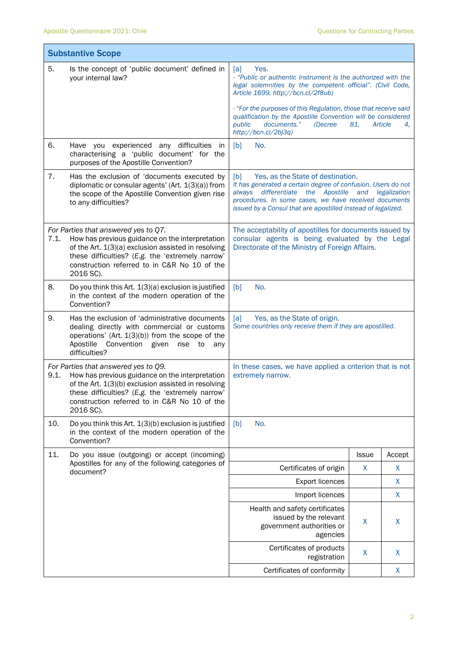|      | <b>Substantive Scope</b>                                                                                                                                                                                                                                        |                                                                                                                                                                                                                                                                                             |              |               |
|------|-----------------------------------------------------------------------------------------------------------------------------------------------------------------------------------------------------------------------------------------------------------------|---------------------------------------------------------------------------------------------------------------------------------------------------------------------------------------------------------------------------------------------------------------------------------------------|--------------|---------------|
| 5.   | Is the concept of 'public document' defined in<br>your internal law?                                                                                                                                                                                            | Yes.<br>[a]<br>- "Public or authentic instrument is the authorized with the<br>legal solemnities by the competent official". (Civil Code,<br>Article 1699, http://bcn.cl/2f8ub)                                                                                                             |              |               |
|      |                                                                                                                                                                                                                                                                 | - "For the purposes of this Regulation, those that receive said<br>qualification by the Apostille Convention will be considered<br>documents."<br>public<br>(Decree)<br>http://bcn.cl/2bj3q)                                                                                                | 81,          | Article<br>4, |
| 6.   | Have you experienced any difficulties in<br>characterising a 'public document' for the<br>purposes of the Apostille Convention?                                                                                                                                 | No.<br>[b]                                                                                                                                                                                                                                                                                  |              |               |
| 7.   | Has the exclusion of 'documents executed by<br>diplomatic or consular agents' (Art. 1(3)(a)) from<br>the scope of the Apostille Convention given rise<br>to any difficulties?                                                                                   | Yes, as the State of destination.<br>[b]<br>It has generated a certain degree of confusion. Users do not<br>always differentiate<br>the Apostille and legalization<br>procedures. In some cases, we have received documents<br>issued by a Consul that are apostilled instead of legalized. |              |               |
| 7.1. | For Parties that answered yes to Q7.<br>How has previous guidance on the interpretation<br>of the Art. 1(3)(a) exclusion assisted in resolving<br>these difficulties? (E.g. the 'extremely narrow'<br>construction referred to in C&R No 10 of the<br>2016 SC). | The acceptability of apostilles for documents issued by<br>consular agents is being evaluated by the Legal<br>Directorate of the Ministry of Foreign Affairs.                                                                                                                               |              |               |
| 8.   | Do you think this Art. 1(3)(a) exclusion is justified<br>in the context of the modern operation of the<br>Convention?                                                                                                                                           | No.<br>[b]                                                                                                                                                                                                                                                                                  |              |               |
| 9.   | Has the exclusion of 'administrative documents<br>dealing directly with commercial or customs<br>operations' (Art. $1(3)(b)$ ) from the scope of the<br>Apostille<br>Convention given<br>rise<br>to<br>any<br>difficulties?                                     | [a]<br>Yes, as the State of origin.<br>Some countries only receive them if they are apostilled.                                                                                                                                                                                             |              |               |
| 9.1. | For Parties that answered yes to Q9.<br>How has previous guidance on the interpretation<br>of the Art. 1(3)(b) exclusion assisted in resolving<br>these difficulties? (E.g. the 'extremely narrow'<br>construction referred to in C&R No 10 of the<br>2016 SC). | In these cases, we have applied a criterion that is not<br>extremely narrow.                                                                                                                                                                                                                |              |               |
| 10.  | Do you think this Art. 1(3)(b) exclusion is justified<br>in the context of the modern operation of the<br>Convention?                                                                                                                                           | No.<br>[b]                                                                                                                                                                                                                                                                                  |              |               |
| 11.  | Do you issue (outgoing) or accept (incoming)                                                                                                                                                                                                                    |                                                                                                                                                                                                                                                                                             | <b>Issue</b> | Accept        |
|      | Apostilles for any of the following categories of<br>document?                                                                                                                                                                                                  | Certificates of origin                                                                                                                                                                                                                                                                      | X            | X             |
|      |                                                                                                                                                                                                                                                                 | <b>Export licences</b>                                                                                                                                                                                                                                                                      |              | X             |
|      |                                                                                                                                                                                                                                                                 | Import licences                                                                                                                                                                                                                                                                             |              | X             |
|      |                                                                                                                                                                                                                                                                 | Health and safety certificates<br>issued by the relevant<br>government authorities or<br>agencies                                                                                                                                                                                           | X            | X             |
|      |                                                                                                                                                                                                                                                                 | Certificates of products<br>registration                                                                                                                                                                                                                                                    | X            | X             |
|      |                                                                                                                                                                                                                                                                 | Certificates of conformity                                                                                                                                                                                                                                                                  |              | X             |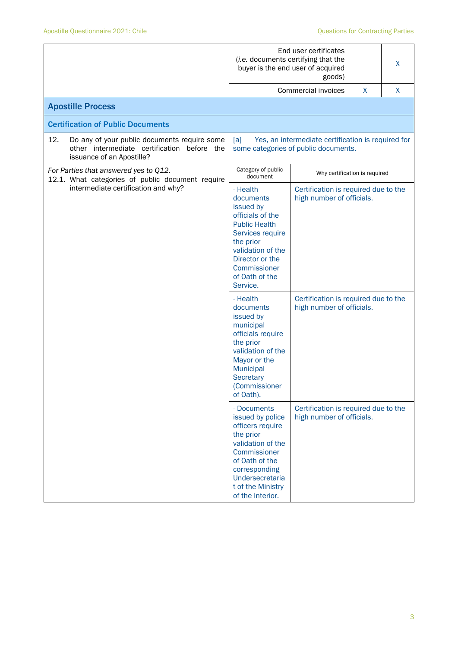|                                     |                                                                                                                                                                                                       | End user certificates<br>(i.e. documents certifying that the<br>X<br>buyer is the end user of acquired<br>goods) |                                                                                            |   |   |
|-------------------------------------|-------------------------------------------------------------------------------------------------------------------------------------------------------------------------------------------------------|------------------------------------------------------------------------------------------------------------------|--------------------------------------------------------------------------------------------|---|---|
|                                     |                                                                                                                                                                                                       |                                                                                                                  | Commercial invoices                                                                        | X | X |
|                                     | <b>Apostille Process</b>                                                                                                                                                                              |                                                                                                                  |                                                                                            |   |   |
|                                     | <b>Certification of Public Documents</b>                                                                                                                                                              |                                                                                                                  |                                                                                            |   |   |
| 12.                                 | Do any of your public documents require some<br>other intermediate certification<br>before the<br>issuance of an Apostille?                                                                           | [a]                                                                                                              | Yes, an intermediate certification is required for<br>some categories of public documents. |   |   |
|                                     | For Parties that answered yes to Q12.<br>12.1. What categories of public document require                                                                                                             | Category of public<br>document                                                                                   | Why certification is required                                                              |   |   |
| intermediate certification and why? | - Health<br>documents<br>issued by<br>officials of the<br><b>Public Health</b><br>Services require<br>the prior<br>validation of the<br>Director or the<br>Commissioner<br>of Oath of the<br>Service. | Certification is required due to the<br>high number of officials.                                                |                                                                                            |   |   |
|                                     | - Health<br>documents<br>issued by<br>municipal<br>officials require<br>the prior<br>validation of the<br>Mayor or the<br>Municipal<br>Secretary<br>(Commissioner<br>of Oath).                        | Certification is required due to the<br>high number of officials.                                                |                                                                                            |   |   |
|                                     | - Documents<br>issued by police<br>officers require<br>the prior<br>validation of the<br>Commissioner<br>of Oath of the<br>corresponding<br>Undersecretaria<br>t of the Ministry<br>of the Interior.  | Certification is required due to the<br>high number of officials.                                                |                                                                                            |   |   |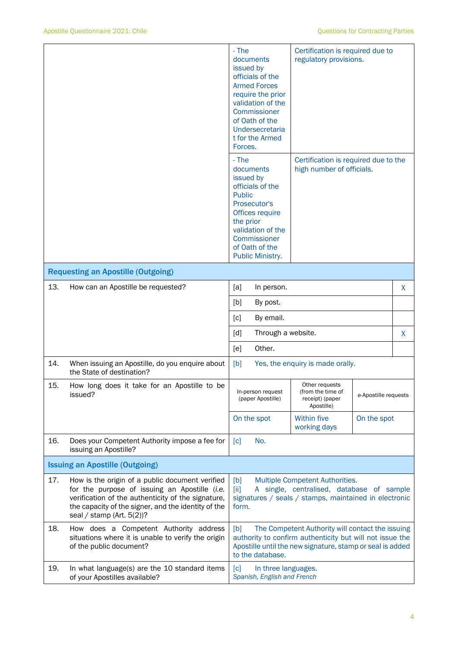|     |                                                                                                                                                                                                                                               | - The<br>documents<br>issued by<br>officials of the<br><b>Armed Forces</b><br>require the prior<br>validation of the<br>Commissioner<br>of Oath of the<br>Undersecretaria<br>t for the Armed<br>Forces. | Certification is required due to<br>regulatory provisions.           |                      |   |
|-----|-----------------------------------------------------------------------------------------------------------------------------------------------------------------------------------------------------------------------------------------------|---------------------------------------------------------------------------------------------------------------------------------------------------------------------------------------------------------|----------------------------------------------------------------------|----------------------|---|
|     |                                                                                                                                                                                                                                               | - The<br>documents<br>issued by<br>officials of the<br><b>Public</b><br>Prosecutor's<br>Offices require<br>the prior<br>validation of the<br>Commissioner<br>of Oath of the<br>Public Ministry.         | Certification is required due to the<br>high number of officials.    |                      |   |
|     | <b>Requesting an Apostille (Outgoing)</b>                                                                                                                                                                                                     |                                                                                                                                                                                                         |                                                                      |                      |   |
| 13. | How can an Apostille be requested?                                                                                                                                                                                                            | [a]<br>In person.                                                                                                                                                                                       |                                                                      |                      | X |
|     |                                                                                                                                                                                                                                               | [b]<br>By post.                                                                                                                                                                                         |                                                                      |                      |   |
|     |                                                                                                                                                                                                                                               | By email.<br>[c]                                                                                                                                                                                        |                                                                      |                      |   |
|     |                                                                                                                                                                                                                                               | [d]<br>Through a website.                                                                                                                                                                               |                                                                      |                      | X |
|     |                                                                                                                                                                                                                                               | Other.<br>[e]                                                                                                                                                                                           |                                                                      |                      |   |
| 14. | When issuing an Apostille, do you enquire about<br>the State of destination?                                                                                                                                                                  | [b]<br>Yes, the enquiry is made orally.                                                                                                                                                                 |                                                                      |                      |   |
| 15. | How long does it take for an Apostille to be<br>issued?                                                                                                                                                                                       | In-person request<br>(paper Apostille)                                                                                                                                                                  | Other requests<br>(from the time of<br>receipt) (paper<br>Apostille) | e-Apostille requests |   |
|     |                                                                                                                                                                                                                                               | On the spot                                                                                                                                                                                             | <b>Within five</b><br>working days                                   | On the spot          |   |
| 16. | Does your Competent Authority impose a fee for<br>issuing an Apostille?                                                                                                                                                                       | No.<br>[c]                                                                                                                                                                                              |                                                                      |                      |   |
|     | <b>Issuing an Apostille (Outgoing)</b>                                                                                                                                                                                                        |                                                                                                                                                                                                         |                                                                      |                      |   |
| 17. | How is the origin of a public document verified<br>for the purpose of issuing an Apostille (i.e.<br>verification of the authenticity of the signature,<br>the capacity of the signer, and the identity of the<br>seal / stamp (Art. $5(2)$ )? | Multiple Competent Authorities.<br>[b]<br>A single, centralised, database of sample<br>[iii]<br>signatures / seals / stamps, maintained in electronic<br>form.                                          |                                                                      |                      |   |
| 18. | How does a Competent Authority address<br>situations where it is unable to verify the origin<br>of the public document?                                                                                                                       | The Competent Authority will contact the issuing<br>[b]<br>authority to confirm authenticity but will not issue the<br>Apostille until the new signature, stamp or seal is added<br>to the database.    |                                                                      |                      |   |
| 19. | In what language(s) are the 10 standard items<br>of your Apostilles available?                                                                                                                                                                | $\lceil c \rceil$<br>In three languages.<br>Spanish, English and French                                                                                                                                 |                                                                      |                      |   |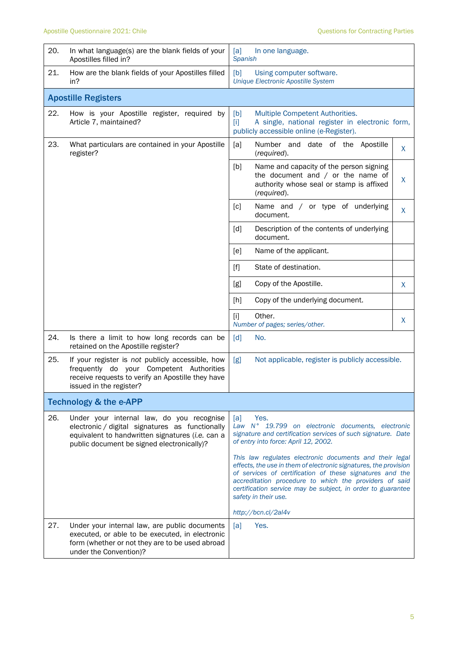| 20. | In what language(s) are the blank fields of your<br>Apostilles filled in?                                                                                                                      | In one language.<br>[a]<br><b>Spanish</b>                                                                                                                                                                                                                                                                                                |   |
|-----|------------------------------------------------------------------------------------------------------------------------------------------------------------------------------------------------|------------------------------------------------------------------------------------------------------------------------------------------------------------------------------------------------------------------------------------------------------------------------------------------------------------------------------------------|---|
| 21. | How are the blank fields of your Apostilles filled<br>in?                                                                                                                                      | [b]<br>Using computer software.<br><b>Unique Electronic Apostille System</b>                                                                                                                                                                                                                                                             |   |
|     | <b>Apostille Registers</b>                                                                                                                                                                     |                                                                                                                                                                                                                                                                                                                                          |   |
| 22. | How is your Apostille register, required by<br>Article 7, maintained?                                                                                                                          | Multiple Competent Authorities.<br>[b]<br>A single, national register in electronic form,<br>$[1]$<br>publicly accessible online (e-Register).                                                                                                                                                                                           |   |
| 23. | What particulars are contained in your Apostille<br>register?                                                                                                                                  | Number and date of the Apostille<br>[a]<br>(required).                                                                                                                                                                                                                                                                                   | X |
|     |                                                                                                                                                                                                | [b]<br>Name and capacity of the person signing<br>the document and $/$ or the name of<br>authority whose seal or stamp is affixed<br>(required).                                                                                                                                                                                         | X |
|     |                                                                                                                                                                                                | Name and / or type of underlying<br>[c]<br>document.                                                                                                                                                                                                                                                                                     | X |
|     |                                                                                                                                                                                                | Description of the contents of underlying<br>[d]<br>document.                                                                                                                                                                                                                                                                            |   |
|     |                                                                                                                                                                                                | Name of the applicant.<br>[e]                                                                                                                                                                                                                                                                                                            |   |
|     |                                                                                                                                                                                                | State of destination.<br>$[f]$                                                                                                                                                                                                                                                                                                           |   |
|     |                                                                                                                                                                                                | Copy of the Apostille.<br>[g]                                                                                                                                                                                                                                                                                                            | X |
|     |                                                                                                                                                                                                | Copy of the underlying document.<br>[h]                                                                                                                                                                                                                                                                                                  |   |
|     |                                                                                                                                                                                                | Other.<br>$[1]$<br>Number of pages; series/other.                                                                                                                                                                                                                                                                                        | X |
| 24. | Is there a limit to how long records can be<br>retained on the Apostille register?                                                                                                             | [d]<br>No.                                                                                                                                                                                                                                                                                                                               |   |
| 25. | If your register is not publicly accessible, how<br>frequently do your Competent Authorities<br>receive requests to verify an Apostille they have<br>issued in the register?                   | [g]<br>Not applicable, register is publicly accessible.                                                                                                                                                                                                                                                                                  |   |
|     | <b>Technology &amp; the e-APP</b>                                                                                                                                                              |                                                                                                                                                                                                                                                                                                                                          |   |
| 26. | Under your internal law, do you recognise<br>electronic / digital signatures as functionally<br>equivalent to handwritten signatures (i.e. can a<br>public document be signed electronically)? | Yes.<br>[a]<br>Law N° 19.799 on electronic documents, electronic<br>signature and certification services of such signature. Date<br>of entry into force: April 12, 2002.                                                                                                                                                                 |   |
|     |                                                                                                                                                                                                | This law regulates electronic documents and their legal<br>effects, the use in them of electronic signatures, the provision<br>of services of certification of these signatures and the<br>accreditation procedure to which the providers of said<br>certification service may be subject, in order to guarantee<br>safety in their use. |   |
|     |                                                                                                                                                                                                | http://bcn.cl/2al4v                                                                                                                                                                                                                                                                                                                      |   |
| 27. | Under your internal law, are public documents<br>executed, or able to be executed, in electronic<br>form (whether or not they are to be used abroad<br>under the Convention)?                  | [a]<br>Yes.                                                                                                                                                                                                                                                                                                                              |   |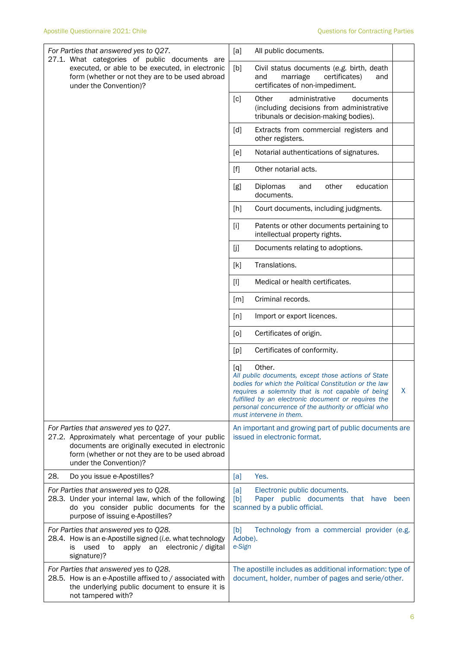| For Parties that answered yes to Q27.<br>27.1. What categories of public documents are<br>executed, or able to be executed, in electronic<br>form (whether or not they are to be used abroad<br>under the Convention)?      | All public documents.<br>[a]                                                                                                                                                                                                                                                                                                        |
|-----------------------------------------------------------------------------------------------------------------------------------------------------------------------------------------------------------------------------|-------------------------------------------------------------------------------------------------------------------------------------------------------------------------------------------------------------------------------------------------------------------------------------------------------------------------------------|
|                                                                                                                                                                                                                             | [b]<br>Civil status documents (e.g. birth, death<br>marriage<br>certificates)<br>and<br>and<br>certificates of non-impediment.                                                                                                                                                                                                      |
|                                                                                                                                                                                                                             | administrative<br>[c]<br>Other<br>documents<br>(including decisions from administrative<br>tribunals or decision-making bodies).                                                                                                                                                                                                    |
|                                                                                                                                                                                                                             | [d]<br>Extracts from commercial registers and<br>other registers.                                                                                                                                                                                                                                                                   |
|                                                                                                                                                                                                                             | Notarial authentications of signatures.<br>[e]                                                                                                                                                                                                                                                                                      |
|                                                                                                                                                                                                                             | Other notarial acts.<br>$[f]$                                                                                                                                                                                                                                                                                                       |
|                                                                                                                                                                                                                             | education<br>Diplomas<br>other<br>[g]<br>and<br>documents.                                                                                                                                                                                                                                                                          |
|                                                                                                                                                                                                                             | [h]<br>Court documents, including judgments.                                                                                                                                                                                                                                                                                        |
|                                                                                                                                                                                                                             | Patents or other documents pertaining to<br>$[1]$<br>intellectual property rights.                                                                                                                                                                                                                                                  |
|                                                                                                                                                                                                                             | [j]<br>Documents relating to adoptions.                                                                                                                                                                                                                                                                                             |
|                                                                                                                                                                                                                             | Translations.<br>[k]                                                                                                                                                                                                                                                                                                                |
|                                                                                                                                                                                                                             | $[1]$<br>Medical or health certificates.                                                                                                                                                                                                                                                                                            |
|                                                                                                                                                                                                                             | Criminal records.<br>[m]                                                                                                                                                                                                                                                                                                            |
|                                                                                                                                                                                                                             | Import or export licences.<br>[n]                                                                                                                                                                                                                                                                                                   |
|                                                                                                                                                                                                                             | Certificates of origin.<br>[0]                                                                                                                                                                                                                                                                                                      |
|                                                                                                                                                                                                                             | Certificates of conformity.<br>[p]                                                                                                                                                                                                                                                                                                  |
|                                                                                                                                                                                                                             | Other.<br>[q]<br>All public documents, except those actions of State<br>bodies for which the Political Constitution or the law<br>requires a solemnity that is not capable of being<br>X<br>fulfilled by an electronic document or requires the<br>personal concurrence of the authority or official who<br>must intervene in them. |
| For Parties that answered yes to Q27.<br>27.2. Approximately what percentage of your public<br>documents are originally executed in electronic<br>form (whether or not they are to be used abroad<br>under the Convention)? | An important and growing part of public documents are<br>issued in electronic format.                                                                                                                                                                                                                                               |
| 28.<br>Do you issue e-Apostilles?                                                                                                                                                                                           | Yes.<br>[a]                                                                                                                                                                                                                                                                                                                         |
| For Parties that answered yes to Q28.<br>28.3. Under your internal law, which of the following<br>do you consider public documents for the<br>purpose of issuing e-Apostilles?                                              | [a]<br>Electronic public documents.<br>Paper public documents that have<br>[b]<br>been<br>scanned by a public official.                                                                                                                                                                                                             |
| For Parties that answered yes to Q28.<br>28.4. How is an e-Apostille signed (i.e. what technology<br>apply an electronic / digital<br>used<br>to<br>is<br>signature)?                                                       | [b]<br>Technology from a commercial provider (e.g.<br>Adobe).<br>e-Sign                                                                                                                                                                                                                                                             |
| For Parties that answered yes to Q28.<br>28.5. How is an e-Apostille affixed to / associated with<br>the underlying public document to ensure it is<br>not tampered with?                                                   | The apostille includes as additional information: type of<br>document, holder, number of pages and serie/other.                                                                                                                                                                                                                     |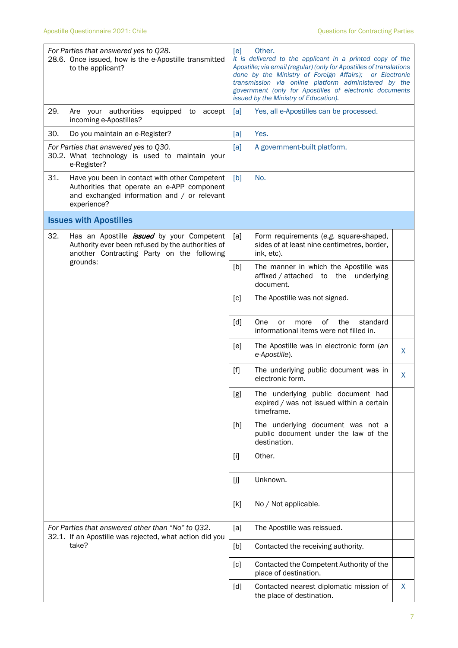| For Parties that answered yes to Q28.<br>28.6. Once issued, how is the e-Apostille transmitted<br>to the applicant?                                               | [e]<br>Other.<br>It is delivered to the applicant in a printed copy of the<br>Apostille; via email (regular) (only for Apostilles of translations<br>done by the Ministry of Foreign Affairs); or Electronic<br>transmission via online platform administered by the<br>government (only for Apostilles of electronic documents<br>issued by the Ministry of Education). |  |  |
|-------------------------------------------------------------------------------------------------------------------------------------------------------------------|--------------------------------------------------------------------------------------------------------------------------------------------------------------------------------------------------------------------------------------------------------------------------------------------------------------------------------------------------------------------------|--|--|
| 29.<br>Are your authorities<br>equipped to<br>accept<br>incoming e-Apostilles?                                                                                    | Yes, all e-Apostilles can be processed.<br>[a]                                                                                                                                                                                                                                                                                                                           |  |  |
| 30.<br>Do you maintain an e-Register?                                                                                                                             | Yes.<br>[a]                                                                                                                                                                                                                                                                                                                                                              |  |  |
| For Parties that answered yes to Q30.<br>30.2. What technology is used to maintain your<br>e-Register?                                                            | [a]<br>A government-built platform.                                                                                                                                                                                                                                                                                                                                      |  |  |
| 31.<br>Have you been in contact with other Competent<br>Authorities that operate an e-APP component<br>and exchanged information and / or relevant<br>experience? | [b]<br>No.                                                                                                                                                                                                                                                                                                                                                               |  |  |
| <b>Issues with Apostilles</b>                                                                                                                                     |                                                                                                                                                                                                                                                                                                                                                                          |  |  |
| 32.<br>Has an Apostille <i>issued</i> by your Competent<br>Authority ever been refused by the authorities of<br>another Contracting Party on the following        | [a]<br>Form requirements (e.g. square-shaped,<br>sides of at least nine centimetres, border,<br>ink, etc).                                                                                                                                                                                                                                                               |  |  |
| grounds:                                                                                                                                                          | The manner in which the Apostille was<br>[b]<br>affixed / attached<br>to the<br>underlying<br>document.                                                                                                                                                                                                                                                                  |  |  |
|                                                                                                                                                                   | [c]<br>The Apostille was not signed.                                                                                                                                                                                                                                                                                                                                     |  |  |
|                                                                                                                                                                   | of<br>the<br>standard<br>[d]<br>One<br>or<br>more<br>informational items were not filled in.                                                                                                                                                                                                                                                                             |  |  |
|                                                                                                                                                                   | The Apostille was in electronic form (an<br>[e]<br>X<br>e-Apostille).                                                                                                                                                                                                                                                                                                    |  |  |
|                                                                                                                                                                   | $[f]$<br>The underlying public document was in<br>X<br>electronic form.                                                                                                                                                                                                                                                                                                  |  |  |
|                                                                                                                                                                   | The underlying public document had<br>[g]<br>expired / was not issued within a certain<br>timeframe.                                                                                                                                                                                                                                                                     |  |  |
|                                                                                                                                                                   | The underlying document was not a<br>[h]<br>public document under the law of the<br>destination.                                                                                                                                                                                                                                                                         |  |  |
|                                                                                                                                                                   | Other.<br>$[1]$                                                                                                                                                                                                                                                                                                                                                          |  |  |
|                                                                                                                                                                   | Unknown.<br>[j]                                                                                                                                                                                                                                                                                                                                                          |  |  |
|                                                                                                                                                                   | No / Not applicable.<br>[k]                                                                                                                                                                                                                                                                                                                                              |  |  |
| For Parties that answered other than "No" to Q32.<br>32.1. If an Apostille was rejected, what action did you                                                      | The Apostille was reissued.<br>[a]                                                                                                                                                                                                                                                                                                                                       |  |  |
| take?                                                                                                                                                             | Contacted the receiving authority.<br>[b]                                                                                                                                                                                                                                                                                                                                |  |  |
|                                                                                                                                                                   | Contacted the Competent Authority of the<br>[c]<br>place of destination.                                                                                                                                                                                                                                                                                                 |  |  |
|                                                                                                                                                                   | [d]<br>Contacted nearest diplomatic mission of<br>X<br>the place of destination.                                                                                                                                                                                                                                                                                         |  |  |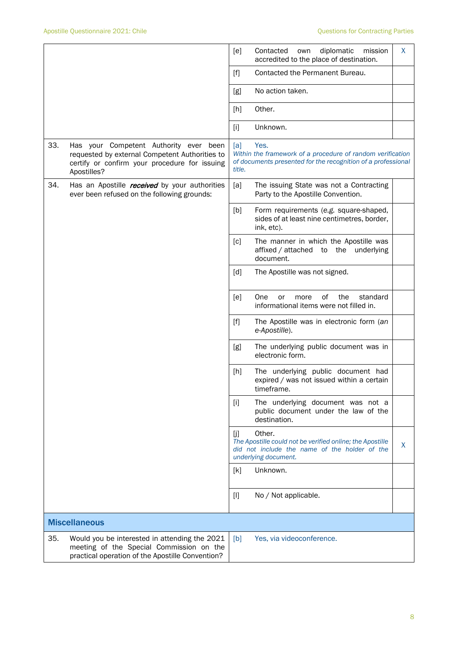|     |                                                                                                                                                          | [e]           | Contacted<br>own<br>diplomatic<br>mission<br>accredited to the place of destination.                                                         | X. |
|-----|----------------------------------------------------------------------------------------------------------------------------------------------------------|---------------|----------------------------------------------------------------------------------------------------------------------------------------------|----|
|     |                                                                                                                                                          | [f]           | Contacted the Permanent Bureau.                                                                                                              |    |
|     |                                                                                                                                                          | [g]           | No action taken.                                                                                                                             |    |
|     |                                                                                                                                                          | [h]           | Other.                                                                                                                                       |    |
|     |                                                                                                                                                          | $[1]$         | Unknown.                                                                                                                                     |    |
| 33. | Has your Competent Authority ever been<br>requested by external Competent Authorities to<br>certify or confirm your procedure for issuing<br>Apostilles? | [a]<br>title. | Yes.<br>Within the framework of a procedure of random verification<br>of documents presented for the recognition of a professional           |    |
| 34. | Has an Apostille <i>received</i> by your authorities<br>ever been refused on the following grounds:                                                      | [a]           | The issuing State was not a Contracting<br>Party to the Apostille Convention.                                                                |    |
|     |                                                                                                                                                          | [b]           | Form requirements (e.g. square-shaped,<br>sides of at least nine centimetres, border,<br>ink, etc).                                          |    |
|     |                                                                                                                                                          | [c]           | The manner in which the Apostille was<br>affixed / attached to<br>the underlying<br>document.                                                |    |
|     |                                                                                                                                                          | [d]           | The Apostille was not signed.                                                                                                                |    |
|     |                                                                                                                                                          | [e]           | One<br>of<br>the<br>standard<br>or<br>more<br>informational items were not filled in.                                                        |    |
|     |                                                                                                                                                          | $[f]$         | The Apostille was in electronic form (an<br>e-Apostille).                                                                                    |    |
|     |                                                                                                                                                          | [g]           | The underlying public document was in<br>electronic form.                                                                                    |    |
|     |                                                                                                                                                          | [h]           | The underlying public document had<br>expired / was not issued within a certain<br>timeframe.                                                |    |
|     |                                                                                                                                                          | $[1]$         | The underlying document was not a<br>public document under the law of the<br>destination.                                                    |    |
|     |                                                                                                                                                          | [j]           | Other.<br>The Apostille could not be verified online; the Apostille<br>did not include the name of the holder of the<br>underlying document. | X  |
|     |                                                                                                                                                          | [k]           | Unknown.                                                                                                                                     |    |
|     |                                                                                                                                                          | $[1]$         | No / Not applicable.                                                                                                                         |    |
|     | <b>Miscellaneous</b>                                                                                                                                     |               |                                                                                                                                              |    |
| 35. | Would you be interested in attending the 2021<br>meeting of the Special Commission on the<br>practical operation of the Apostille Convention?            | [b]           | Yes, via videoconference.                                                                                                                    |    |